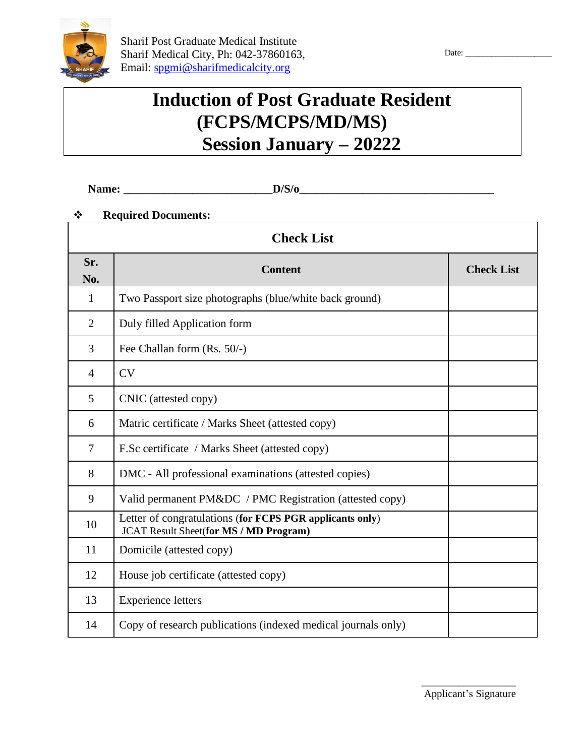

# **Induction of Post Graduate Resident (FCPS/MCPS/MD/MS) Session January – 20222**

**Name: \_\_\_\_\_\_\_\_\_\_\_\_\_\_\_\_\_\_\_\_\_\_\_\_\_\_D/S/o\_\_\_\_\_\_\_\_\_\_\_\_\_\_\_\_\_\_\_\_\_\_\_\_\_\_\_\_\_\_\_\_\_\_**

## ❖ **Required Documents:**

| <b>Check List</b> |                                                                                                           |                   |  |  |  |  |
|-------------------|-----------------------------------------------------------------------------------------------------------|-------------------|--|--|--|--|
| Sr.<br>No.        | <b>Content</b>                                                                                            | <b>Check List</b> |  |  |  |  |
| 1                 | Two Passport size photographs (blue/white back ground)                                                    |                   |  |  |  |  |
| $\overline{2}$    | Duly filled Application form                                                                              |                   |  |  |  |  |
| 3                 | Fee Challan form (Rs. 50/-)                                                                               |                   |  |  |  |  |
| $\overline{4}$    | CV                                                                                                        |                   |  |  |  |  |
| 5                 | CNIC (attested copy)                                                                                      |                   |  |  |  |  |
| 6                 | Matric certificate / Marks Sheet (attested copy)                                                          |                   |  |  |  |  |
| $\overline{7}$    | F.Sc certificate / Marks Sheet (attested copy)                                                            |                   |  |  |  |  |
| 8                 | DMC - All professional examinations (attested copies)                                                     |                   |  |  |  |  |
| 9                 | Valid permanent PM&DC / PMC Registration (attested copy)                                                  |                   |  |  |  |  |
| 10                | Letter of congratulations (for FCPS PGR applicants only)<br><b>JCAT Result Sheet(for MS / MD Program)</b> |                   |  |  |  |  |
| 11                | Domicile (attested copy)                                                                                  |                   |  |  |  |  |
| 12                | House job certificate (attested copy)                                                                     |                   |  |  |  |  |
| 13                | <b>Experience letters</b>                                                                                 |                   |  |  |  |  |
| 14                | Copy of research publications (indexed medical journals only)                                             |                   |  |  |  |  |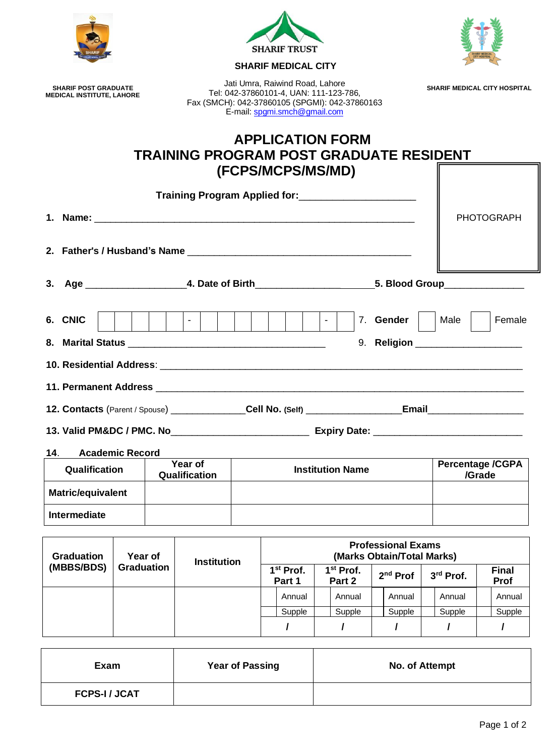|                                                                                                |         |                    |                                                     |  | <b>SHARIF TRUST</b><br><b>SHARIF MEDICAL CITY</b>               |                                                                                          |  |                                                         |                         |  |                                     |
|------------------------------------------------------------------------------------------------|---------|--------------------|-----------------------------------------------------|--|-----------------------------------------------------------------|------------------------------------------------------------------------------------------|--|---------------------------------------------------------|-------------------------|--|-------------------------------------|
| <b>SHARIF POST GRADUATE</b><br><b>MEDICAL INSTITUTE, LAHORE</b>                                |         |                    |                                                     |  | Jati Umra, Raiwind Road, Lahore<br>E-mail: spgmi.smch@gmail.com | Tel: 042-37860101-4, UAN: 111-123-786,<br>Fax (SMCH): 042-37860105 (SPGMI): 042-37860163 |  |                                                         |                         |  | <b>SHARIF MEDICAL CITY HOSPITAL</b> |
| <b>APPLICATION FORM</b><br><b>TRAINING PROGRAM POST GRADUATE RESIDENT</b><br>(FCPS/MCPS/MS/MD) |         |                    |                                                     |  |                                                                 |                                                                                          |  |                                                         |                         |  |                                     |
|                                                                                                |         |                    | Training Program Applied for: _____________________ |  |                                                                 |                                                                                          |  |                                                         |                         |  |                                     |
|                                                                                                |         |                    |                                                     |  |                                                                 |                                                                                          |  |                                                         |                         |  | <b>PHOTOGRAPH</b>                   |
|                                                                                                |         |                    |                                                     |  |                                                                 |                                                                                          |  |                                                         |                         |  |                                     |
|                                                                                                |         |                    |                                                     |  |                                                                 |                                                                                          |  |                                                         |                         |  |                                     |
| 6. CNIC                                                                                        |         |                    | 1 - I                                               |  |                                                                 | $\sim$ 1                                                                                 |  | 7. Gender                                               | Male                    |  | Female                              |
|                                                                                                |         |                    |                                                     |  |                                                                 |                                                                                          |  | 9. Religion ___________________                         |                         |  |                                     |
|                                                                                                |         |                    |                                                     |  |                                                                 |                                                                                          |  |                                                         |                         |  |                                     |
|                                                                                                |         |                    |                                                     |  |                                                                 |                                                                                          |  |                                                         |                         |  |                                     |
| 12. Contacts (Parent / Spouse) ______________Cell No. (Self) ___________________Email          |         |                    |                                                     |  |                                                                 |                                                                                          |  |                                                         |                         |  |                                     |
|                                                                                                |         |                    |                                                     |  |                                                                 |                                                                                          |  |                                                         |                         |  |                                     |
| <b>Academic Record</b><br>14.                                                                  |         |                    |                                                     |  |                                                                 |                                                                                          |  |                                                         |                         |  |                                     |
| Year of<br><b>Institution Name</b><br>Qualification<br>Qualification                           |         |                    |                                                     |  |                                                                 |                                                                                          |  | /Grade                                                  | <b>Percentage /CGPA</b> |  |                                     |
| Matric/equivalent                                                                              |         |                    |                                                     |  |                                                                 |                                                                                          |  |                                                         |                         |  |                                     |
| <b>Intermediate</b>                                                                            |         |                    |                                                     |  |                                                                 |                                                                                          |  |                                                         |                         |  |                                     |
| <b>Graduation</b>                                                                              | Year of |                    |                                                     |  |                                                                 |                                                                                          |  | <b>Professional Exams</b><br>(Marks Obtain/Total Marks) |                         |  |                                     |
| (MRRS/RDS) Craduation                                                                          |         | <b>Institution</b> |                                                     |  |                                                                 |                                                                                          |  |                                                         |                         |  |                                     |

| ulduduul   | i eal Ul          | <b>Institution</b> | INGLAS UDIANTI UJAI MALASI      |                                 |        |           |                             |  |  |
|------------|-------------------|--------------------|---------------------------------|---------------------------------|--------|-----------|-----------------------------|--|--|
| (MBBS/BDS) | <b>Graduation</b> |                    | 1 <sup>st</sup> Prof.<br>Part 1 | 1 <sup>st</sup> Prof.<br>Part 2 |        | 3rd Prof. | <b>Final</b><br><b>Prof</b> |  |  |
|            |                   |                    | Annual                          | Annual                          | Annual | Annual    | Annual                      |  |  |
|            |                   |                    | Supple                          | Supple                          | Supple | Supple    | Supple                      |  |  |
|            |                   |                    |                                 |                                 |        |           |                             |  |  |

| Exam               | <b>Year of Passing</b> | No. of Attempt |
|--------------------|------------------------|----------------|
| <b>FCPS-I/JCAT</b> |                        |                |